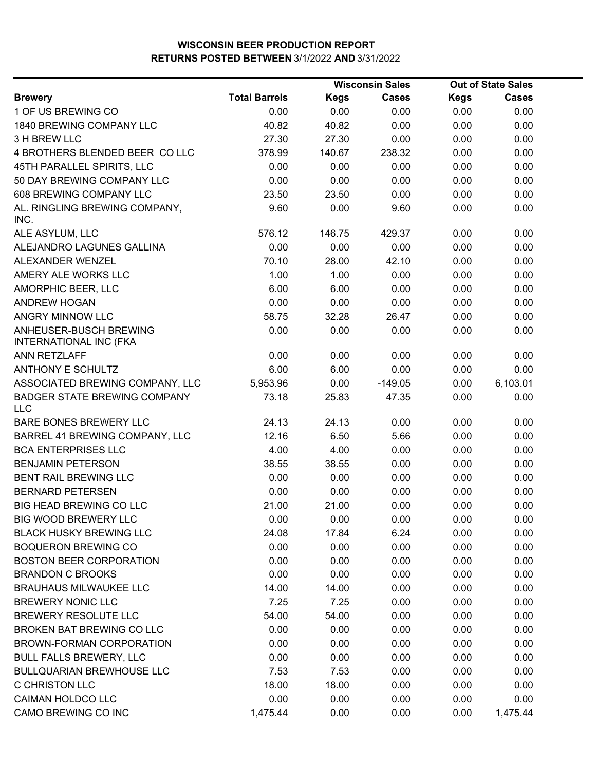|                                                         |                      |             | <b>Wisconsin Sales</b> | <b>Out of State Sales</b> |              |  |
|---------------------------------------------------------|----------------------|-------------|------------------------|---------------------------|--------------|--|
| <b>Brewery</b>                                          | <b>Total Barrels</b> | <b>Kegs</b> | <b>Cases</b>           | <b>Kegs</b>               | <b>Cases</b> |  |
| 1 OF US BREWING CO                                      | 0.00                 | 0.00        | 0.00                   | 0.00                      | 0.00         |  |
| 1840 BREWING COMPANY LLC                                | 40.82                | 40.82       | 0.00                   | 0.00                      | 0.00         |  |
| 3 H BREW LLC                                            | 27.30                | 27.30       | 0.00                   | 0.00                      | 0.00         |  |
| 4 BROTHERS BLENDED BEER CO LLC                          | 378.99               | 140.67      | 238.32                 | 0.00                      | 0.00         |  |
| 45TH PARALLEL SPIRITS, LLC                              | 0.00                 | 0.00        | 0.00                   | 0.00                      | 0.00         |  |
| 50 DAY BREWING COMPANY LLC                              | 0.00                 | 0.00        | 0.00                   | 0.00                      | 0.00         |  |
| 608 BREWING COMPANY LLC                                 | 23.50                | 23.50       | 0.00                   | 0.00                      | 0.00         |  |
| AL. RINGLING BREWING COMPANY,<br>INC.                   | 9.60                 | 0.00        | 9.60                   | 0.00                      | 0.00         |  |
| ALE ASYLUM, LLC                                         | 576.12               | 146.75      | 429.37                 | 0.00                      | 0.00         |  |
| ALEJANDRO LAGUNES GALLINA                               | 0.00                 | 0.00        | 0.00                   | 0.00                      | 0.00         |  |
| ALEXANDER WENZEL                                        | 70.10                | 28.00       | 42.10                  | 0.00                      | 0.00         |  |
| AMERY ALE WORKS LLC                                     | 1.00                 | 1.00        | 0.00                   | 0.00                      | 0.00         |  |
| AMORPHIC BEER, LLC                                      | 6.00                 | 6.00        | 0.00                   | 0.00                      | 0.00         |  |
| <b>ANDREW HOGAN</b>                                     | 0.00                 | 0.00        | 0.00                   | 0.00                      | 0.00         |  |
| <b>ANGRY MINNOW LLC</b>                                 | 58.75                | 32.28       | 26.47                  | 0.00                      | 0.00         |  |
| ANHEUSER-BUSCH BREWING<br><b>INTERNATIONAL INC (FKA</b> | 0.00                 | 0.00        | 0.00                   | 0.00                      | 0.00         |  |
| ANN RETZLAFF                                            | 0.00                 | 0.00        | 0.00                   | 0.00                      | 0.00         |  |
| <b>ANTHONY E SCHULTZ</b>                                | 6.00                 | 6.00        | 0.00                   | 0.00                      | 0.00         |  |
| ASSOCIATED BREWING COMPANY, LLC                         | 5,953.96             | 0.00        | $-149.05$              | 0.00                      | 6,103.01     |  |
| <b>BADGER STATE BREWING COMPANY</b><br><b>LLC</b>       | 73.18                | 25.83       | 47.35                  | 0.00                      | 0.00         |  |
| BARE BONES BREWERY LLC                                  | 24.13                | 24.13       | 0.00                   | 0.00                      | 0.00         |  |
| BARREL 41 BREWING COMPANY, LLC                          | 12.16                | 6.50        | 5.66                   | 0.00                      | 0.00         |  |
| <b>BCA ENTERPRISES LLC</b>                              | 4.00                 | 4.00        | 0.00                   | 0.00                      | 0.00         |  |
| <b>BENJAMIN PETERSON</b>                                | 38.55                | 38.55       | 0.00                   | 0.00                      | 0.00         |  |
| <b>BENT RAIL BREWING LLC</b>                            | 0.00                 | 0.00        | 0.00                   | 0.00                      | 0.00         |  |
| <b>BERNARD PETERSEN</b>                                 | 0.00                 | 0.00        | 0.00                   | 0.00                      | 0.00         |  |
| <b>BIG HEAD BREWING CO LLC</b>                          | 21.00                | 21.00       | 0.00                   | 0.00                      | 0.00         |  |
| <b>BIG WOOD BREWERY LLC</b>                             | 0.00                 | 0.00        | 0.00                   | 0.00                      | 0.00         |  |
| <b>BLACK HUSKY BREWING LLC</b>                          | 24.08                | 17.84       | 6.24                   | 0.00                      | 0.00         |  |
| <b>BOQUERON BREWING CO</b>                              | 0.00                 | 0.00        | 0.00                   | 0.00                      | 0.00         |  |
| <b>BOSTON BEER CORPORATION</b>                          | 0.00                 | 0.00        | 0.00                   | 0.00                      | 0.00         |  |
| <b>BRANDON C BROOKS</b>                                 | 0.00                 | 0.00        | 0.00                   | 0.00                      | 0.00         |  |
| <b>BRAUHAUS MILWAUKEE LLC</b>                           | 14.00                | 14.00       | 0.00                   | 0.00                      | 0.00         |  |
| <b>BREWERY NONIC LLC</b>                                | 7.25                 | 7.25        | 0.00                   | 0.00                      | 0.00         |  |
| BREWERY RESOLUTE LLC                                    | 54.00                | 54.00       | 0.00                   | 0.00                      | 0.00         |  |
| BROKEN BAT BREWING CO LLC                               | 0.00                 | 0.00        | 0.00                   | 0.00                      | 0.00         |  |
| BROWN-FORMAN CORPORATION                                | 0.00                 | 0.00        | 0.00                   | 0.00                      | 0.00         |  |
| <b>BULL FALLS BREWERY, LLC</b>                          | 0.00                 | 0.00        | 0.00                   | 0.00                      | 0.00         |  |
| <b>BULLQUARIAN BREWHOUSE LLC</b>                        | 7.53                 | 7.53        | 0.00                   | 0.00                      | 0.00         |  |
| C CHRISTON LLC                                          | 18.00                | 18.00       | 0.00                   | 0.00                      | 0.00         |  |
| CAIMAN HOLDCO LLC                                       | 0.00                 | 0.00        | 0.00                   | 0.00                      | 0.00         |  |
| CAMO BREWING CO INC                                     | 1,475.44             | 0.00        | 0.00                   | 0.00                      | 1,475.44     |  |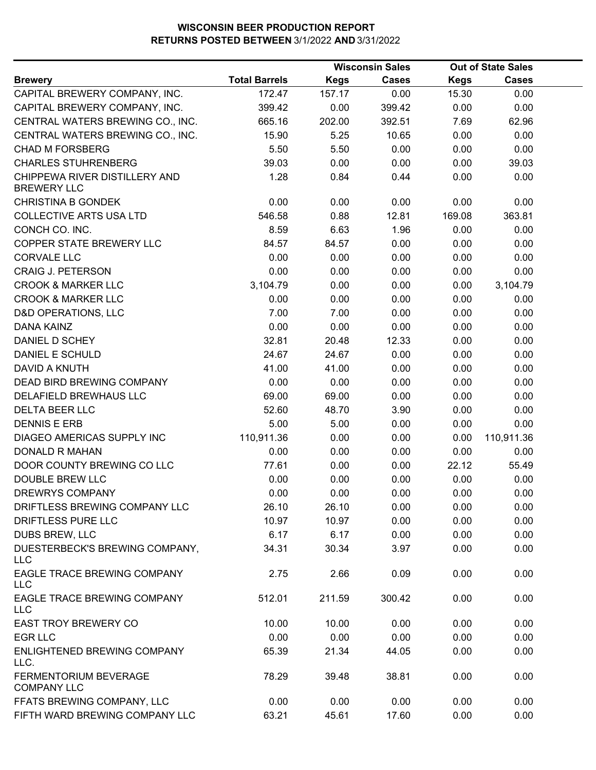|                                                     |                      |             | <b>Wisconsin Sales</b> |             | <b>Out of State Sales</b> |  |
|-----------------------------------------------------|----------------------|-------------|------------------------|-------------|---------------------------|--|
| <b>Brewery</b>                                      | <b>Total Barrels</b> | <b>Kegs</b> | <b>Cases</b>           | <b>Kegs</b> | <b>Cases</b>              |  |
| CAPITAL BREWERY COMPANY, INC.                       | 172.47               | 157.17      | 0.00                   | 15.30       | 0.00                      |  |
| CAPITAL BREWERY COMPANY, INC.                       | 399.42               | 0.00        | 399.42                 | 0.00        | 0.00                      |  |
| CENTRAL WATERS BREWING CO., INC.                    | 665.16               | 202.00      | 392.51                 | 7.69        | 62.96                     |  |
| CENTRAL WATERS BREWING CO., INC.                    | 15.90                | 5.25        | 10.65                  | 0.00        | 0.00                      |  |
| <b>CHAD M FORSBERG</b>                              | 5.50                 | 5.50        | 0.00                   | 0.00        | 0.00                      |  |
| <b>CHARLES STUHRENBERG</b>                          | 39.03                | 0.00        | 0.00                   | 0.00        | 39.03                     |  |
| CHIPPEWA RIVER DISTILLERY AND<br><b>BREWERY LLC</b> | 1.28                 | 0.84        | 0.44                   | 0.00        | 0.00                      |  |
| <b>CHRISTINA B GONDEK</b>                           | 0.00                 | 0.00        | 0.00                   | 0.00        | 0.00                      |  |
| <b>COLLECTIVE ARTS USA LTD</b>                      | 546.58               | 0.88        | 12.81                  | 169.08      | 363.81                    |  |
| CONCH CO. INC.                                      | 8.59                 | 6.63        | 1.96                   | 0.00        | 0.00                      |  |
| COPPER STATE BREWERY LLC                            | 84.57                | 84.57       | 0.00                   | 0.00        | 0.00                      |  |
| <b>CORVALE LLC</b>                                  | 0.00                 | 0.00        | 0.00                   | 0.00        | 0.00                      |  |
| <b>CRAIG J. PETERSON</b>                            | 0.00                 | 0.00        | 0.00                   | 0.00        | 0.00                      |  |
| <b>CROOK &amp; MARKER LLC</b>                       | 3,104.79             | 0.00        | 0.00                   | 0.00        | 3,104.79                  |  |
| <b>CROOK &amp; MARKER LLC</b>                       | 0.00                 | 0.00        | 0.00                   | 0.00        | 0.00                      |  |
| <b>D&amp;D OPERATIONS, LLC</b>                      | 7.00                 | 7.00        | 0.00                   | 0.00        | 0.00                      |  |
| DANA KAINZ                                          | 0.00                 | 0.00        | 0.00                   | 0.00        | 0.00                      |  |
| DANIEL D SCHEY                                      | 32.81                | 20.48       | 12.33                  | 0.00        | 0.00                      |  |
| DANIEL E SCHULD                                     | 24.67                | 24.67       | 0.00                   | 0.00        | 0.00                      |  |
| DAVID A KNUTH                                       | 41.00                | 41.00       | 0.00                   | 0.00        | 0.00                      |  |
| DEAD BIRD BREWING COMPANY                           | 0.00                 | 0.00        | 0.00                   | 0.00        | 0.00                      |  |
| DELAFIELD BREWHAUS LLC                              | 69.00                | 69.00       | 0.00                   | 0.00        | 0.00                      |  |
| <b>DELTA BEER LLC</b>                               | 52.60                | 48.70       | 3.90                   | 0.00        | 0.00                      |  |
| <b>DENNIS E ERB</b>                                 | 5.00                 | 5.00        | 0.00                   | 0.00        | 0.00                      |  |
| DIAGEO AMERICAS SUPPLY INC                          | 110,911.36           | 0.00        | 0.00                   | 0.00        | 110,911.36                |  |
| <b>DONALD R MAHAN</b>                               | 0.00                 | 0.00        | 0.00                   | 0.00        | 0.00                      |  |
| DOOR COUNTY BREWING CO LLC                          | 77.61                | 0.00        | 0.00                   | 22.12       | 55.49                     |  |
| <b>DOUBLE BREW LLC</b>                              | 0.00                 | 0.00        | 0.00                   | 0.00        | 0.00                      |  |
| <b>DREWRYS COMPANY</b>                              | 0.00                 | 0.00        | 0.00                   | 0.00        | 0.00                      |  |
| DRIFTLESS BREWING COMPANY LLC                       | 26.10                | 26.10       | 0.00                   | 0.00        | 0.00                      |  |
| DRIFTLESS PURE LLC                                  | 10.97                | 10.97       | 0.00                   | 0.00        | 0.00                      |  |
| <b>DUBS BREW, LLC</b>                               | 6.17                 | 6.17        | 0.00                   | 0.00        | 0.00                      |  |
| DUESTERBECK'S BREWING COMPANY,                      | 34.31                | 30.34       | 3.97                   | 0.00        | 0.00                      |  |
| <b>LLC</b>                                          |                      |             |                        |             |                           |  |
| EAGLE TRACE BREWING COMPANY<br><b>LLC</b>           | 2.75                 | 2.66        | 0.09                   | 0.00        | 0.00                      |  |
| EAGLE TRACE BREWING COMPANY<br><b>LLC</b>           | 512.01               | 211.59      | 300.42                 | 0.00        | 0.00                      |  |
| <b>EAST TROY BREWERY CO</b>                         | 10.00                | 10.00       | 0.00                   | 0.00        | 0.00                      |  |
| <b>EGR LLC</b>                                      | 0.00                 | 0.00        | 0.00                   | 0.00        | 0.00                      |  |
| ENLIGHTENED BREWING COMPANY<br>LLC.                 | 65.39                | 21.34       | 44.05                  | 0.00        | 0.00                      |  |
| FERMENTORIUM BEVERAGE<br><b>COMPANY LLC</b>         | 78.29                | 39.48       | 38.81                  | 0.00        | 0.00                      |  |
| FFATS BREWING COMPANY, LLC                          | 0.00                 | 0.00        | 0.00                   | 0.00        | 0.00                      |  |
| FIFTH WARD BREWING COMPANY LLC                      | 63.21                | 45.61       | 17.60                  | 0.00        | 0.00                      |  |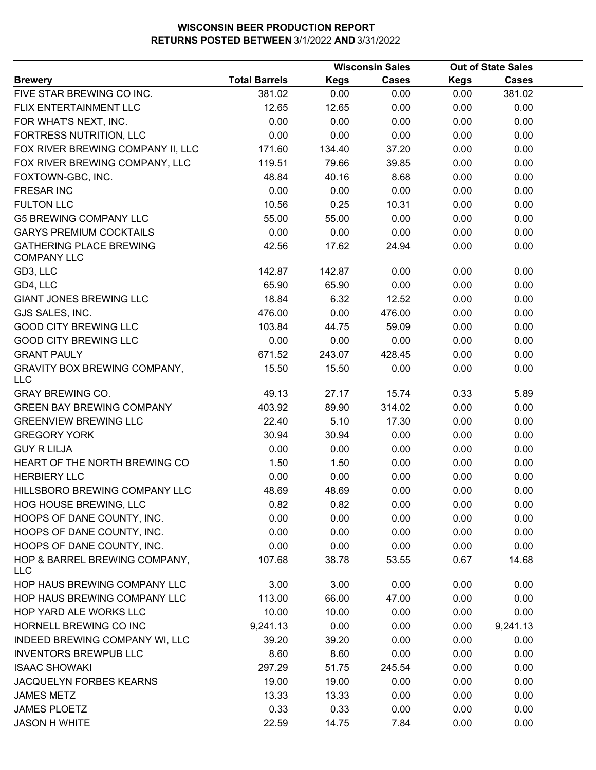|                                                      |                      |             | <b>Wisconsin Sales</b> |             | <b>Out of State Sales</b> |  |
|------------------------------------------------------|----------------------|-------------|------------------------|-------------|---------------------------|--|
| <b>Brewery</b>                                       | <b>Total Barrels</b> | <b>Kegs</b> | <b>Cases</b>           | <b>Kegs</b> | <b>Cases</b>              |  |
| FIVE STAR BREWING CO INC.                            | 381.02               | 0.00        | 0.00                   | 0.00        | 381.02                    |  |
| FLIX ENTERTAINMENT LLC                               | 12.65                | 12.65       | 0.00                   | 0.00        | 0.00                      |  |
| FOR WHAT'S NEXT, INC.                                | 0.00                 | 0.00        | 0.00                   | 0.00        | 0.00                      |  |
| FORTRESS NUTRITION, LLC                              | 0.00                 | 0.00        | 0.00                   | 0.00        | 0.00                      |  |
| FOX RIVER BREWING COMPANY II, LLC                    | 171.60               | 134.40      | 37.20                  | 0.00        | 0.00                      |  |
| FOX RIVER BREWING COMPANY, LLC                       | 119.51               | 79.66       | 39.85                  | 0.00        | 0.00                      |  |
| FOXTOWN-GBC, INC.                                    | 48.84                | 40.16       | 8.68                   | 0.00        | 0.00                      |  |
| <b>FRESAR INC</b>                                    | 0.00                 | 0.00        | 0.00                   | 0.00        | 0.00                      |  |
| <b>FULTON LLC</b>                                    | 10.56                | 0.25        | 10.31                  | 0.00        | 0.00                      |  |
| <b>G5 BREWING COMPANY LLC</b>                        | 55.00                | 55.00       | 0.00                   | 0.00        | 0.00                      |  |
| <b>GARYS PREMIUM COCKTAILS</b>                       | 0.00                 | 0.00        | 0.00                   | 0.00        | 0.00                      |  |
| <b>GATHERING PLACE BREWING</b><br><b>COMPANY LLC</b> | 42.56                | 17.62       | 24.94                  | 0.00        | 0.00                      |  |
| GD3, LLC                                             | 142.87               | 142.87      | 0.00                   | 0.00        | 0.00                      |  |
| GD4, LLC                                             | 65.90                | 65.90       | 0.00                   | 0.00        | 0.00                      |  |
| <b>GIANT JONES BREWING LLC</b>                       | 18.84                | 6.32        | 12.52                  | 0.00        | 0.00                      |  |
| GJS SALES, INC.                                      | 476.00               | 0.00        | 476.00                 | 0.00        | 0.00                      |  |
| <b>GOOD CITY BREWING LLC</b>                         | 103.84               | 44.75       | 59.09                  | 0.00        | 0.00                      |  |
| <b>GOOD CITY BREWING LLC</b>                         | 0.00                 | 0.00        | 0.00                   | 0.00        | 0.00                      |  |
| <b>GRANT PAULY</b>                                   | 671.52               | 243.07      | 428.45                 | 0.00        | 0.00                      |  |
| <b>GRAVITY BOX BREWING COMPANY,</b><br><b>LLC</b>    | 15.50                | 15.50       | 0.00                   | 0.00        | 0.00                      |  |
| <b>GRAY BREWING CO.</b>                              | 49.13                | 27.17       | 15.74                  | 0.33        | 5.89                      |  |
| <b>GREEN BAY BREWING COMPANY</b>                     | 403.92               | 89.90       | 314.02                 | 0.00        | 0.00                      |  |
| <b>GREENVIEW BREWING LLC</b>                         | 22.40                | 5.10        | 17.30                  | 0.00        | 0.00                      |  |
| <b>GREGORY YORK</b>                                  | 30.94                | 30.94       | 0.00                   | 0.00        | 0.00                      |  |
| <b>GUY R LILJA</b>                                   | 0.00                 | 0.00        | 0.00                   | 0.00        | 0.00                      |  |
| HEART OF THE NORTH BREWING CO                        | 1.50                 | 1.50        | 0.00                   | 0.00        | 0.00                      |  |
| <b>HERBIERY LLC</b>                                  | 0.00                 | 0.00        | 0.00                   | 0.00        | 0.00                      |  |
| HILLSBORO BREWING COMPANY LLC                        | 48.69                | 48.69       | 0.00                   | 0.00        | 0.00                      |  |
| HOG HOUSE BREWING, LLC                               | 0.82                 | 0.82        | 0.00                   | 0.00        | 0.00                      |  |
| HOOPS OF DANE COUNTY, INC.                           | 0.00                 | 0.00        | 0.00                   | 0.00        | 0.00                      |  |
| HOOPS OF DANE COUNTY, INC.                           | 0.00                 | 0.00        | 0.00                   | 0.00        | 0.00                      |  |
| HOOPS OF DANE COUNTY, INC.                           | 0.00                 | 0.00        | 0.00                   | 0.00        | 0.00                      |  |
| HOP & BARREL BREWING COMPANY,<br><b>LLC</b>          | 107.68               | 38.78       | 53.55                  | 0.67        | 14.68                     |  |
| HOP HAUS BREWING COMPANY LLC                         | 3.00                 | 3.00        | 0.00                   | 0.00        | 0.00                      |  |
| HOP HAUS BREWING COMPANY LLC                         | 113.00               | 66.00       | 47.00                  | 0.00        | 0.00                      |  |
| HOP YARD ALE WORKS LLC                               | 10.00                | 10.00       | 0.00                   | 0.00        | 0.00                      |  |
| HORNELL BREWING CO INC                               | 9,241.13             | 0.00        | 0.00                   | 0.00        | 9,241.13                  |  |
| INDEED BREWING COMPANY WI, LLC                       | 39.20                | 39.20       | 0.00                   | 0.00        | 0.00                      |  |
| <b>INVENTORS BREWPUB LLC</b>                         | 8.60                 | 8.60        | 0.00                   | 0.00        | 0.00                      |  |
| <b>ISAAC SHOWAKI</b>                                 | 297.29               | 51.75       | 245.54                 | 0.00        | 0.00                      |  |
| JACQUELYN FORBES KEARNS                              | 19.00                | 19.00       | 0.00                   | 0.00        | 0.00                      |  |
| <b>JAMES METZ</b>                                    | 13.33                | 13.33       | 0.00                   | 0.00        | 0.00                      |  |
| <b>JAMES PLOETZ</b>                                  | 0.33                 | 0.33        | 0.00                   | 0.00        | 0.00                      |  |
| <b>JASON H WHITE</b>                                 | 22.59                | 14.75       | 7.84                   | 0.00        | 0.00                      |  |
|                                                      |                      |             |                        |             |                           |  |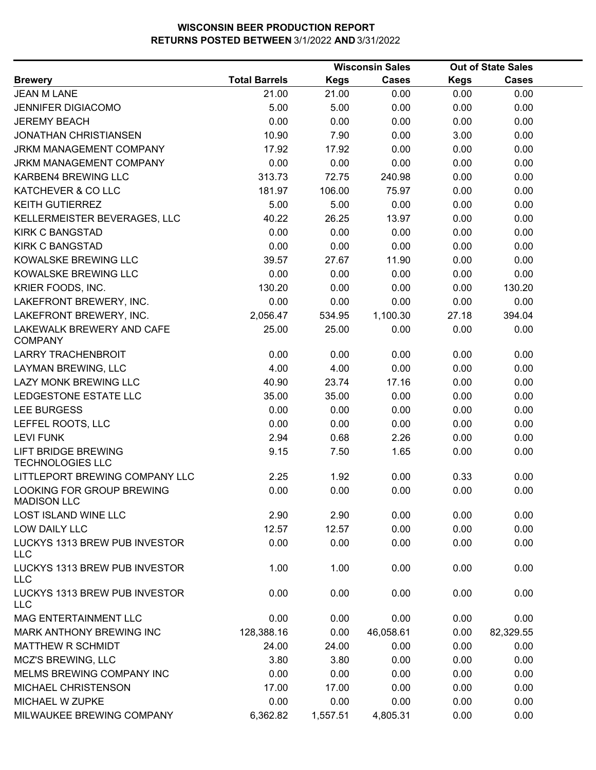|                                                       |                      |             | <b>Wisconsin Sales</b> |             | <b>Out of State Sales</b> |  |
|-------------------------------------------------------|----------------------|-------------|------------------------|-------------|---------------------------|--|
| <b>Brewery</b>                                        | <b>Total Barrels</b> | <b>Kegs</b> | <b>Cases</b>           | <b>Kegs</b> | <b>Cases</b>              |  |
| <b>JEAN M LANE</b>                                    | 21.00                | 21.00       | 0.00                   | 0.00        | 0.00                      |  |
| <b>JENNIFER DIGIACOMO</b>                             | 5.00                 | 5.00        | 0.00                   | 0.00        | 0.00                      |  |
| <b>JEREMY BEACH</b>                                   | 0.00                 | 0.00        | 0.00                   | 0.00        | 0.00                      |  |
| <b>JONATHAN CHRISTIANSEN</b>                          | 10.90                | 7.90        | 0.00                   | 3.00        | 0.00                      |  |
| <b>JRKM MANAGEMENT COMPANY</b>                        | 17.92                | 17.92       | 0.00                   | 0.00        | 0.00                      |  |
| JRKM MANAGEMENT COMPANY                               | 0.00                 | 0.00        | 0.00                   | 0.00        | 0.00                      |  |
| KARBEN4 BREWING LLC                                   | 313.73               | 72.75       | 240.98                 | 0.00        | 0.00                      |  |
| KATCHEVER & CO LLC                                    | 181.97               | 106.00      | 75.97                  | 0.00        | 0.00                      |  |
| <b>KEITH GUTIERREZ</b>                                | 5.00                 | 5.00        | 0.00                   | 0.00        | 0.00                      |  |
| KELLERMEISTER BEVERAGES, LLC                          | 40.22                | 26.25       | 13.97                  | 0.00        | 0.00                      |  |
| <b>KIRK C BANGSTAD</b>                                | 0.00                 | 0.00        | 0.00                   | 0.00        | 0.00                      |  |
| <b>KIRK C BANGSTAD</b>                                | 0.00                 | 0.00        | 0.00                   | 0.00        | 0.00                      |  |
| KOWALSKE BREWING LLC                                  | 39.57                | 27.67       | 11.90                  | 0.00        | 0.00                      |  |
| KOWALSKE BREWING LLC                                  | 0.00                 | 0.00        | 0.00                   | 0.00        | 0.00                      |  |
| KRIER FOODS, INC.                                     | 130.20               | 0.00        | 0.00                   | 0.00        | 130.20                    |  |
| LAKEFRONT BREWERY, INC.                               | 0.00                 | 0.00        | 0.00                   | 0.00        | 0.00                      |  |
| LAKEFRONT BREWERY, INC.                               | 2,056.47             | 534.95      | 1,100.30               | 27.18       | 394.04                    |  |
| LAKEWALK BREWERY AND CAFE<br><b>COMPANY</b>           | 25.00                | 25.00       | 0.00                   | 0.00        | 0.00                      |  |
| <b>LARRY TRACHENBROIT</b>                             | 0.00                 | 0.00        | 0.00                   | 0.00        | 0.00                      |  |
| LAYMAN BREWING, LLC                                   | 4.00                 | 4.00        | 0.00                   | 0.00        | 0.00                      |  |
| LAZY MONK BREWING LLC                                 | 40.90                | 23.74       | 17.16                  | 0.00        | 0.00                      |  |
| LEDGESTONE ESTATE LLC                                 | 35.00                | 35.00       | 0.00                   | 0.00        | 0.00                      |  |
| <b>LEE BURGESS</b>                                    | 0.00                 | 0.00        | 0.00                   | 0.00        | 0.00                      |  |
| LEFFEL ROOTS, LLC                                     | 0.00                 | 0.00        | 0.00                   | 0.00        | 0.00                      |  |
| <b>LEVI FUNK</b>                                      | 2.94                 | 0.68        | 2.26                   | 0.00        | 0.00                      |  |
| <b>LIFT BRIDGE BREWING</b><br><b>TECHNOLOGIES LLC</b> | 9.15                 | 7.50        | 1.65                   | 0.00        | 0.00                      |  |
| LITTLEPORT BREWING COMPANY LLC                        | 2.25                 | 1.92        | 0.00                   | 0.33        | 0.00                      |  |
| LOOKING FOR GROUP BREWING<br><b>MADISON LLC</b>       | 0.00                 | 0.00        | 0.00                   | 0.00        | 0.00                      |  |
| <b>LOST ISLAND WINE LLC</b>                           | 2.90                 | 2.90        | 0.00                   | 0.00        | 0.00                      |  |
| <b>LOW DAILY LLC</b>                                  | 12.57                | 12.57       | 0.00                   | 0.00        | 0.00                      |  |
| LUCKYS 1313 BREW PUB INVESTOR<br><b>LLC</b>           | 0.00                 | 0.00        | 0.00                   | 0.00        | 0.00                      |  |
| LUCKYS 1313 BREW PUB INVESTOR<br><b>LLC</b>           | 1.00                 | 1.00        | 0.00                   | 0.00        | 0.00                      |  |
| LUCKYS 1313 BREW PUB INVESTOR<br><b>LLC</b>           | 0.00                 | 0.00        | 0.00                   | 0.00        | 0.00                      |  |
| <b>MAG ENTERTAINMENT LLC</b>                          | 0.00                 | 0.00        | 0.00                   | 0.00        | 0.00                      |  |
| MARK ANTHONY BREWING INC                              | 128,388.16           | 0.00        | 46,058.61              | 0.00        | 82,329.55                 |  |
| <b>MATTHEW R SCHMIDT</b>                              | 24.00                | 24.00       | 0.00                   | 0.00        | 0.00                      |  |
| MCZ'S BREWING, LLC                                    | 3.80                 | 3.80        | 0.00                   | 0.00        | 0.00                      |  |
| MELMS BREWING COMPANY INC                             | 0.00                 | 0.00        | 0.00                   | 0.00        | 0.00                      |  |
| MICHAEL CHRISTENSON                                   | 17.00                | 17.00       | 0.00                   | 0.00        | 0.00                      |  |
| MICHAEL W ZUPKE                                       | 0.00                 | 0.00        | 0.00                   | 0.00        | 0.00                      |  |
| MILWAUKEE BREWING COMPANY                             | 6,362.82             | 1,557.51    | 4,805.31               | 0.00        | 0.00                      |  |
|                                                       |                      |             |                        |             |                           |  |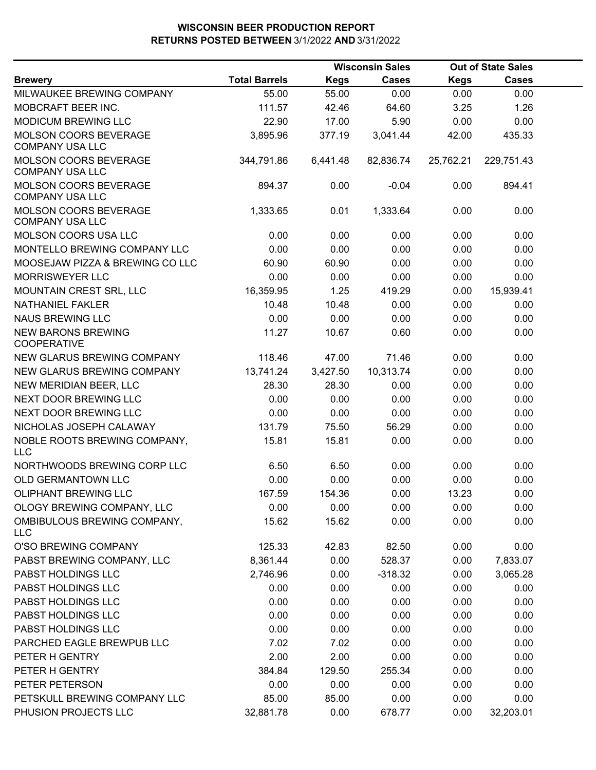|                                                        |                      |             | <b>Wisconsin Sales</b> |             | <b>Out of State Sales</b> |  |
|--------------------------------------------------------|----------------------|-------------|------------------------|-------------|---------------------------|--|
| <b>Brewery</b>                                         | <b>Total Barrels</b> | <b>Kegs</b> | <b>Cases</b>           | <b>Kegs</b> | <b>Cases</b>              |  |
| MILWAUKEE BREWING COMPANY                              | 55.00                | 55.00       | 0.00                   | 0.00        | 0.00                      |  |
| MOBCRAFT BEER INC.                                     | 111.57               | 42.46       | 64.60                  | 3.25        | 1.26                      |  |
| MODICUM BREWING LLC                                    | 22.90                | 17.00       | 5.90                   | 0.00        | 0.00                      |  |
| <b>MOLSON COORS BEVERAGE</b><br><b>COMPANY USA LLC</b> | 3,895.96             | 377.19      | 3,041.44               | 42.00       | 435.33                    |  |
| MOLSON COORS BEVERAGE<br><b>COMPANY USA LLC</b>        | 344,791.86           | 6,441.48    | 82,836.74              | 25,762.21   | 229,751.43                |  |
| MOLSON COORS BEVERAGE<br><b>COMPANY USA LLC</b>        | 894.37               | 0.00        | $-0.04$                | 0.00        | 894.41                    |  |
| MOLSON COORS BEVERAGE<br><b>COMPANY USA LLC</b>        | 1,333.65             | 0.01        | 1,333.64               | 0.00        | 0.00                      |  |
| MOLSON COORS USA LLC                                   | 0.00                 | 0.00        | 0.00                   | 0.00        | 0.00                      |  |
| MONTELLO BREWING COMPANY LLC                           | 0.00                 | 0.00        | 0.00                   | 0.00        | 0.00                      |  |
| MOOSEJAW PIZZA & BREWING CO LLC                        | 60.90                | 60.90       | 0.00                   | 0.00        | 0.00                      |  |
| <b>MORRISWEYER LLC</b>                                 | 0.00                 | 0.00        | 0.00                   | 0.00        | 0.00                      |  |
| MOUNTAIN CREST SRL, LLC                                | 16,359.95            | 1.25        | 419.29                 | 0.00        | 15,939.41                 |  |
| NATHANIEL FAKLER                                       | 10.48                | 10.48       | 0.00                   | 0.00        | 0.00                      |  |
| <b>NAUS BREWING LLC</b>                                | 0.00                 | 0.00        | 0.00                   | 0.00        | 0.00                      |  |
| <b>NEW BARONS BREWING</b><br><b>COOPERATIVE</b>        | 11.27                | 10.67       | 0.60                   | 0.00        | 0.00                      |  |
| NEW GLARUS BREWING COMPANY                             | 118.46               | 47.00       | 71.46                  | 0.00        | 0.00                      |  |
| NEW GLARUS BREWING COMPANY                             | 13,741.24            | 3,427.50    | 10,313.74              | 0.00        | 0.00                      |  |
| NEW MERIDIAN BEER, LLC                                 | 28.30                | 28.30       | 0.00                   | 0.00        | 0.00                      |  |
| NEXT DOOR BREWING LLC                                  | 0.00                 | 0.00        | 0.00                   | 0.00        | 0.00                      |  |
| NEXT DOOR BREWING LLC                                  | 0.00                 | 0.00        | 0.00                   | 0.00        | 0.00                      |  |
| NICHOLAS JOSEPH CALAWAY                                | 131.79               | 75.50       | 56.29                  | 0.00        | 0.00                      |  |
| NOBLE ROOTS BREWING COMPANY,<br><b>LLC</b>             | 15.81                | 15.81       | 0.00                   | 0.00        | 0.00                      |  |
| NORTHWOODS BREWING CORP LLC                            | 6.50                 | 6.50        | 0.00                   | 0.00        | 0.00                      |  |
| OLD GERMANTOWN LLC                                     | 0.00                 | 0.00        | 0.00                   | 0.00        | 0.00                      |  |
| <b>OLIPHANT BREWING LLC</b>                            | 167.59               | 154.36      | 0.00                   | 13.23       | 0.00                      |  |
| OLOGY BREWING COMPANY, LLC                             | 0.00                 | 0.00        | 0.00                   | 0.00        | 0.00                      |  |
| OMBIBULOUS BREWING COMPANY,<br><b>LLC</b>              | 15.62                | 15.62       | 0.00                   | 0.00        | 0.00                      |  |
| O'SO BREWING COMPANY                                   | 125.33               | 42.83       | 82.50                  | 0.00        | 0.00                      |  |
| PABST BREWING COMPANY, LLC                             | 8,361.44             | 0.00        | 528.37                 | 0.00        | 7,833.07                  |  |
| PABST HOLDINGS LLC                                     | 2,746.96             | 0.00        | $-318.32$              | 0.00        | 3,065.28                  |  |
| PABST HOLDINGS LLC                                     | 0.00                 | 0.00        | 0.00                   | 0.00        | 0.00                      |  |
| PABST HOLDINGS LLC                                     | 0.00                 | 0.00        | 0.00                   | 0.00        | 0.00                      |  |
| PABST HOLDINGS LLC                                     | 0.00                 | 0.00        | 0.00                   | 0.00        | 0.00                      |  |
| PABST HOLDINGS LLC                                     | 0.00                 | 0.00        | 0.00                   | 0.00        | 0.00                      |  |
| PARCHED EAGLE BREWPUB LLC                              | 7.02                 | 7.02        | 0.00                   | 0.00        | 0.00                      |  |
| PETER H GENTRY                                         | 2.00                 | 2.00        | 0.00                   | 0.00        | 0.00                      |  |
| PETER H GENTRY                                         | 384.84               | 129.50      | 255.34                 | 0.00        | 0.00                      |  |
| PETER PETERSON                                         | 0.00                 | 0.00        | 0.00                   | 0.00        | 0.00                      |  |
| PETSKULL BREWING COMPANY LLC                           | 85.00                | 85.00       | 0.00                   | 0.00        | 0.00                      |  |
| PHUSION PROJECTS LLC                                   | 32,881.78            | 0.00        | 678.77                 | 0.00        | 32,203.01                 |  |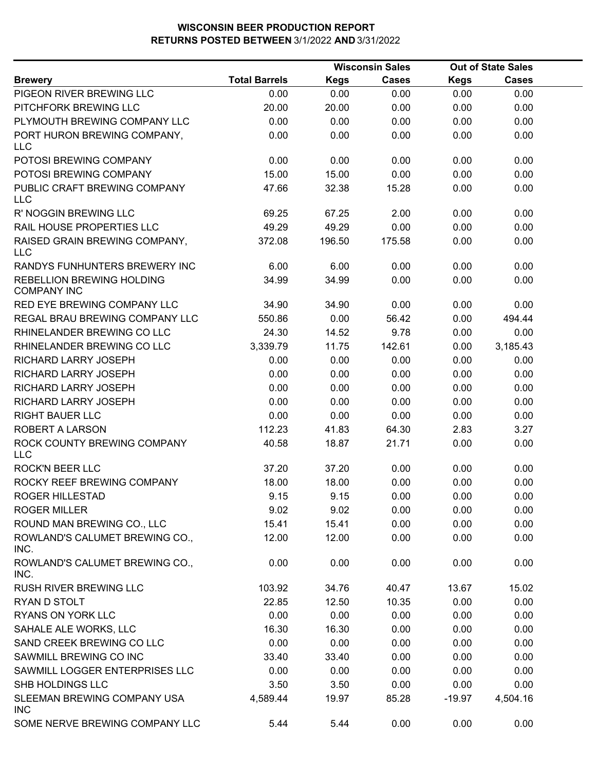|                                                 |                      |             | <b>Wisconsin Sales</b> |             | <b>Out of State Sales</b> |  |
|-------------------------------------------------|----------------------|-------------|------------------------|-------------|---------------------------|--|
| <b>Brewery</b>                                  | <b>Total Barrels</b> | <b>Kegs</b> | Cases                  | <b>Kegs</b> | Cases                     |  |
| PIGEON RIVER BREWING LLC                        | 0.00                 | 0.00        | 0.00                   | 0.00        | 0.00                      |  |
| PITCHFORK BREWING LLC                           | 20.00                | 20.00       | 0.00                   | 0.00        | 0.00                      |  |
| PLYMOUTH BREWING COMPANY LLC                    | 0.00                 | 0.00        | 0.00                   | 0.00        | 0.00                      |  |
| PORT HURON BREWING COMPANY,<br><b>LLC</b>       | 0.00                 | 0.00        | 0.00                   | 0.00        | 0.00                      |  |
| POTOSI BREWING COMPANY                          | 0.00                 | 0.00        | 0.00                   | 0.00        | 0.00                      |  |
| POTOSI BREWING COMPANY                          | 15.00                | 15.00       | 0.00                   | 0.00        | 0.00                      |  |
| PUBLIC CRAFT BREWING COMPANY<br><b>LLC</b>      | 47.66                | 32.38       | 15.28                  | 0.00        | 0.00                      |  |
| R' NOGGIN BREWING LLC                           | 69.25                | 67.25       | 2.00                   | 0.00        | 0.00                      |  |
| RAIL HOUSE PROPERTIES LLC                       | 49.29                | 49.29       | 0.00                   | 0.00        | 0.00                      |  |
| RAISED GRAIN BREWING COMPANY,<br><b>LLC</b>     | 372.08               | 196.50      | 175.58                 | 0.00        | 0.00                      |  |
| RANDYS FUNHUNTERS BREWERY INC                   | 6.00                 | 6.00        | 0.00                   | 0.00        | 0.00                      |  |
| REBELLION BREWING HOLDING<br><b>COMPANY INC</b> | 34.99                | 34.99       | 0.00                   | 0.00        | 0.00                      |  |
| RED EYE BREWING COMPANY LLC                     | 34.90                | 34.90       | 0.00                   | 0.00        | 0.00                      |  |
| REGAL BRAU BREWING COMPANY LLC                  | 550.86               | 0.00        | 56.42                  | 0.00        | 494.44                    |  |
| RHINELANDER BREWING CO LLC                      | 24.30                | 14.52       | 9.78                   | 0.00        | 0.00                      |  |
| RHINELANDER BREWING CO LLC                      | 3,339.79             | 11.75       | 142.61                 | 0.00        | 3,185.43                  |  |
| RICHARD LARRY JOSEPH                            | 0.00                 | 0.00        | 0.00                   | 0.00        | 0.00                      |  |
| RICHARD LARRY JOSEPH                            | 0.00                 | 0.00        | 0.00                   | 0.00        | 0.00                      |  |
| RICHARD LARRY JOSEPH                            | 0.00                 | 0.00        | 0.00                   | 0.00        | 0.00                      |  |
| RICHARD LARRY JOSEPH                            | 0.00                 | 0.00        | 0.00                   | 0.00        | 0.00                      |  |
| <b>RIGHT BAUER LLC</b>                          | 0.00                 | 0.00        | 0.00                   | 0.00        | 0.00                      |  |
| ROBERT A LARSON                                 | 112.23               | 41.83       | 64.30                  | 2.83        | 3.27                      |  |
| ROCK COUNTY BREWING COMPANY<br><b>LLC</b>       | 40.58                | 18.87       | 21.71                  | 0.00        | 0.00                      |  |
| <b>ROCK'N BEER LLC</b>                          | 37.20                | 37.20       | 0.00                   | 0.00        | 0.00                      |  |
| ROCKY REEF BREWING COMPANY                      | 18.00                | 18.00       | 0.00                   | 0.00        | 0.00                      |  |
| ROGER HILLESTAD                                 | 9.15                 | 9.15        | 0.00                   | 0.00        | 0.00                      |  |
| <b>ROGER MILLER</b>                             | 9.02                 | 9.02        | 0.00                   | 0.00        | 0.00                      |  |
| ROUND MAN BREWING CO., LLC                      | 15.41                | 15.41       | 0.00                   | 0.00        | 0.00                      |  |
| ROWLAND'S CALUMET BREWING CO.,<br>INC.          | 12.00                | 12.00       | 0.00                   | 0.00        | 0.00                      |  |
| ROWLAND'S CALUMET BREWING CO.,<br>INC.          | 0.00                 | 0.00        | 0.00                   | 0.00        | 0.00                      |  |
| RUSH RIVER BREWING LLC                          | 103.92               | 34.76       | 40.47                  | 13.67       | 15.02                     |  |
| RYAN D STOLT                                    | 22.85                | 12.50       | 10.35                  | 0.00        | 0.00                      |  |
| <b>RYANS ON YORK LLC</b>                        | 0.00                 | 0.00        | 0.00                   | 0.00        | 0.00                      |  |
| SAHALE ALE WORKS, LLC                           | 16.30                | 16.30       | 0.00                   | 0.00        | 0.00                      |  |
| SAND CREEK BREWING CO LLC                       | 0.00                 | 0.00        | 0.00                   | 0.00        | 0.00                      |  |
| SAWMILL BREWING CO INC                          | 33.40                | 33.40       | 0.00                   | 0.00        | 0.00                      |  |
| SAWMILL LOGGER ENTERPRISES LLC                  | 0.00                 | 0.00        | 0.00                   | 0.00        | 0.00                      |  |
| SHB HOLDINGS LLC                                | 3.50                 | 3.50        | 0.00                   | 0.00        | 0.00                      |  |
| SLEEMAN BREWING COMPANY USA<br><b>INC</b>       | 4,589.44             | 19.97       | 85.28                  | $-19.97$    | 4,504.16                  |  |
| SOME NERVE BREWING COMPANY LLC                  | 5.44                 | 5.44        | 0.00                   | 0.00        | 0.00                      |  |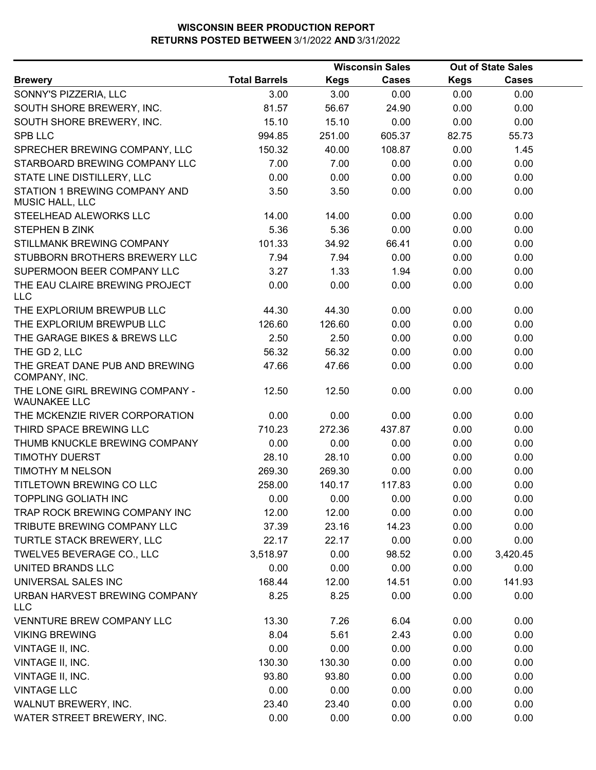|                                                        |                      |             | <b>Wisconsin Sales</b> |             | <b>Out of State Sales</b> |  |
|--------------------------------------------------------|----------------------|-------------|------------------------|-------------|---------------------------|--|
| <b>Brewery</b>                                         | <b>Total Barrels</b> | <b>Kegs</b> | <b>Cases</b>           | <b>Kegs</b> | <b>Cases</b>              |  |
| SONNY'S PIZZERIA, LLC                                  | 3.00                 | 3.00        | 0.00                   | 0.00        | 0.00                      |  |
| SOUTH SHORE BREWERY, INC.                              | 81.57                | 56.67       | 24.90                  | 0.00        | 0.00                      |  |
| SOUTH SHORE BREWERY, INC.                              | 15.10                | 15.10       | 0.00                   | 0.00        | 0.00                      |  |
| <b>SPB LLC</b>                                         | 994.85               | 251.00      | 605.37                 | 82.75       | 55.73                     |  |
| SPRECHER BREWING COMPANY, LLC                          | 150.32               | 40.00       | 108.87                 | 0.00        | 1.45                      |  |
| STARBOARD BREWING COMPANY LLC                          | 7.00                 | 7.00        | 0.00                   | 0.00        | 0.00                      |  |
| STATE LINE DISTILLERY, LLC                             | 0.00                 | 0.00        | 0.00                   | 0.00        | 0.00                      |  |
| STATION 1 BREWING COMPANY AND<br>MUSIC HALL, LLC       | 3.50                 | 3.50        | 0.00                   | 0.00        | 0.00                      |  |
| STEELHEAD ALEWORKS LLC                                 | 14.00                | 14.00       | 0.00                   | 0.00        | 0.00                      |  |
| <b>STEPHEN B ZINK</b>                                  | 5.36                 | 5.36        | 0.00                   | 0.00        | 0.00                      |  |
| STILLMANK BREWING COMPANY                              | 101.33               | 34.92       | 66.41                  | 0.00        | 0.00                      |  |
| STUBBORN BROTHERS BREWERY LLC                          | 7.94                 | 7.94        | 0.00                   | 0.00        | 0.00                      |  |
| SUPERMOON BEER COMPANY LLC                             | 3.27                 | 1.33        | 1.94                   | 0.00        | 0.00                      |  |
| THE EAU CLAIRE BREWING PROJECT<br><b>LLC</b>           | 0.00                 | 0.00        | 0.00                   | 0.00        | 0.00                      |  |
| THE EXPLORIUM BREWPUB LLC                              | 44.30                | 44.30       | 0.00                   | 0.00        | 0.00                      |  |
| THE EXPLORIUM BREWPUB LLC                              | 126.60               | 126.60      | 0.00                   | 0.00        | 0.00                      |  |
| THE GARAGE BIKES & BREWS LLC                           | 2.50                 | 2.50        | 0.00                   | 0.00        | 0.00                      |  |
| THE GD 2, LLC                                          | 56.32                | 56.32       | 0.00                   | 0.00        | 0.00                      |  |
| THE GREAT DANE PUB AND BREWING<br>COMPANY, INC.        | 47.66                | 47.66       | 0.00                   | 0.00        | 0.00                      |  |
| THE LONE GIRL BREWING COMPANY -<br><b>WAUNAKEE LLC</b> | 12.50                | 12.50       | 0.00                   | 0.00        | 0.00                      |  |
| THE MCKENZIE RIVER CORPORATION                         | 0.00                 | 0.00        | 0.00                   | 0.00        | 0.00                      |  |
| THIRD SPACE BREWING LLC                                | 710.23               | 272.36      | 437.87                 | 0.00        | 0.00                      |  |
| THUMB KNUCKLE BREWING COMPANY                          | 0.00                 | 0.00        | 0.00                   | 0.00        | 0.00                      |  |
| <b>TIMOTHY DUERST</b>                                  | 28.10                | 28.10       | 0.00                   | 0.00        | 0.00                      |  |
| TIMOTHY M NELSON                                       | 269.30               | 269.30      | 0.00                   | 0.00        | 0.00                      |  |
| TITLETOWN BREWING CO LLC                               | 258.00               | 140.17      | 117.83                 | 0.00        | 0.00                      |  |
| TOPPLING GOLIATH INC                                   | 0.00                 | 0.00        | 0.00                   | 0.00        | 0.00                      |  |
| TRAP ROCK BREWING COMPANY INC                          | 12.00                | 12.00       | 0.00                   | 0.00        | 0.00                      |  |
| TRIBUTE BREWING COMPANY LLC                            | 37.39                | 23.16       | 14.23                  | 0.00        | 0.00                      |  |
| TURTLE STACK BREWERY, LLC                              | 22.17                | 22.17       | 0.00                   | 0.00        | 0.00                      |  |
| TWELVE5 BEVERAGE CO., LLC                              | 3,518.97             | 0.00        | 98.52                  | 0.00        | 3,420.45                  |  |
| UNITED BRANDS LLC                                      | 0.00                 | 0.00        | 0.00                   | 0.00        | 0.00                      |  |
| UNIVERSAL SALES INC                                    | 168.44               | 12.00       | 14.51                  | 0.00        | 141.93                    |  |
| URBAN HARVEST BREWING COMPANY<br><b>LLC</b>            | 8.25                 | 8.25        | 0.00                   | 0.00        | 0.00                      |  |
| <b>VENNTURE BREW COMPANY LLC</b>                       | 13.30                | 7.26        | 6.04                   | 0.00        | 0.00                      |  |
| <b>VIKING BREWING</b>                                  | 8.04                 | 5.61        | 2.43                   | 0.00        | 0.00                      |  |
| VINTAGE II, INC.                                       | 0.00                 | 0.00        | 0.00                   | 0.00        | 0.00                      |  |
| VINTAGE II, INC.                                       | 130.30               | 130.30      | 0.00                   | 0.00        | 0.00                      |  |
| VINTAGE II, INC.                                       | 93.80                | 93.80       | 0.00                   | 0.00        | 0.00                      |  |
| <b>VINTAGE LLC</b>                                     | 0.00                 | 0.00        | 0.00                   | 0.00        | 0.00                      |  |
| WALNUT BREWERY, INC.                                   | 23.40                | 23.40       | 0.00                   | 0.00        | 0.00                      |  |
| WATER STREET BREWERY, INC.                             | 0.00                 | 0.00        | 0.00                   | 0.00        | 0.00                      |  |